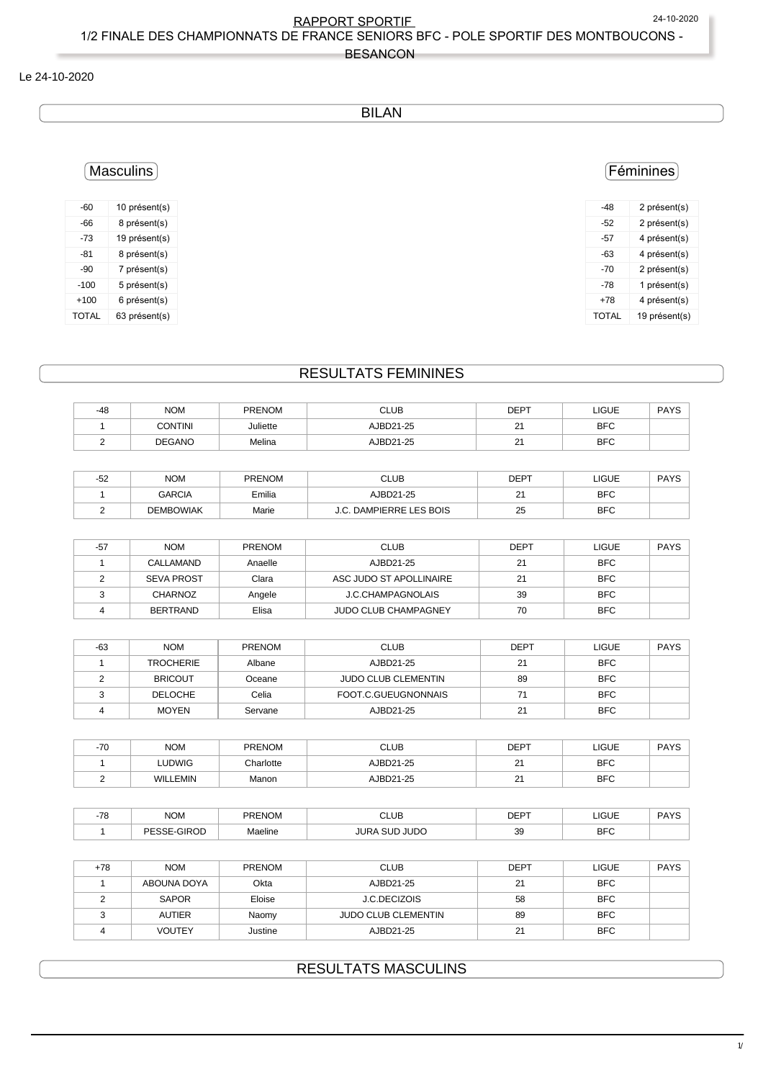$1/3$ 

#### BESANCON

### Le 24-10-2020

### BILAN

### Féminines

| -48          | 2 présent(s)  |
|--------------|---------------|
| -52          | 2 présent(s)  |
| -57          | 4 présent(s)  |
| -63          | 4 présent(s)  |
| -70          | 2 présent(s)  |
| -78          | 1 présent(s)  |
| $+78$        | 4 présent(s)  |
| <b>TOTAL</b> | 19 présent(s) |

#### -73 19 présent(s) -81 8 présent(s) -90 7 présent(s) -100 5 présent(s)

Masculins

-60 10 présent(s) -66 8 présent(s)

+100 6 présent(s) TOTAL 63 présent(s)

# RESULTATS FEMININES

| -48 | <b>NOM</b>     | <b>PRENOM</b> | <b>CLUB</b> | <b>DEPT</b>  | LIGUE      | PAYS |
|-----|----------------|---------------|-------------|--------------|------------|------|
|     | <b>CONTINI</b> | Juliette      | AJBD21-25   | $2^{\prime}$ | <b>BFC</b> |      |
| -   | <b>DEGANO</b>  | Melina        | AJBD21-25   | 21           | <b>BFC</b> |      |
|     |                |               |             |              |            |      |

| $ \epsilon$<br>-ລ∠ | <b>NOM</b>       | <b>PRENOM</b> | <b>CLUB</b>               | <b>DEPT</b>    | LIGUE      | <b>PAYS</b> |
|--------------------|------------------|---------------|---------------------------|----------------|------------|-------------|
|                    | <b>GARCIA</b>    | Emilia        | AJBD21-25                 | n.<br><u>.</u> | <b>BFC</b> |             |
|                    | <b>DEMBOWIAK</b> | Marie         | <b>DAMPIERRE LES BOIS</b> | 25             | <b>BFC</b> |             |

| $-57$ | <b>NOM</b>        | <b>PRENOM</b> | <b>CLUB</b>                 | <b>DEPT</b> | LIGUE      | <b>PAYS</b> |
|-------|-------------------|---------------|-----------------------------|-------------|------------|-------------|
|       | CALLAMAND         | Anaelle       | AJBD21-25                   | 21          | <b>BFC</b> |             |
|       | <b>SEVA PROST</b> | Clara         | ASC JUDO ST APOLLINAIRE     | 21          | <b>BFC</b> |             |
|       | <b>CHARNOZ</b>    | Angele        | <b>J.C.CHAMPAGNOLAIS</b>    | 39          | <b>BFC</b> |             |
|       | <b>BERTRAND</b>   | Elisa         | <b>JUDO CLUB CHAMPAGNEY</b> | 70          | <b>BFC</b> |             |

| $-63$ | <b>NOM</b>       | <b>PRENOM</b> | <b>CLUB</b>                | <b>DEPT</b> | <b>LIGUE</b> | <b>PAYS</b> |
|-------|------------------|---------------|----------------------------|-------------|--------------|-------------|
|       | <b>TROCHERIE</b> | Albane        | AJBD21-25                  | 21          | <b>BFC</b>   |             |
|       | <b>BRICOUT</b>   | Oceane        | <b>JUDO CLUB CLEMENTIN</b> | 89          | <b>BFC</b>   |             |
|       | <b>DELOCHE</b>   | Celia         | FOOT.C.GUEUGNONNAIS        |             | <b>BFC</b>   |             |
|       | <b>MOYEN</b>     | Servane       | AJBD21-25                  | 21          | <b>BFC</b>   |             |

| $-70$ | <b>NOM</b>      | <b>PRENOM</b>    | <b>CLUB</b>      | <b>DEPT</b> | <b>LIGUE</b> | <b>PAYS</b> |
|-------|-----------------|------------------|------------------|-------------|--------------|-------------|
|       | LUDWIG          | <b>Charlotte</b> | AJBD21-25        | <u>.</u>    | <b>BFC</b>   |             |
|       | <b>WILLEMIN</b> | Manon            | <b>AJBD21-25</b> | ິ<br>_      | <b>BFC</b>   |             |

| $\overline{z}$<br>$\sim$ | <b>NOM</b>      | <b>DDENOM</b> | ~<br>CLUE<br>$ -$    | <b>DEDT</b> | LIGUE<br>$  -$ | <b>DAVC</b> |
|--------------------------|-----------------|---------------|----------------------|-------------|----------------|-------------|
|                          | $\sim$<br>∕ ا⊢. | Maeline       | <b>JUDC</b><br>זו ור | 39          | <b>BFC</b>     |             |

| $+78$ | <b>NOM</b>    | <b>PRENOM</b> | <b>CLUB</b>                | DEPT | LIGUE      | <b>PAYS</b> |
|-------|---------------|---------------|----------------------------|------|------------|-------------|
|       | ABOUNA DOYA   | Okta          | AJBD21-25                  | 21   | <b>BFC</b> |             |
|       | SAPOR         | Eloise        | J.C.DECIZOIS               | 58   | BFC        |             |
|       | <b>AUTIER</b> | Naomy         | <b>JUDO CLUB CLEMENTIN</b> | 89   | <b>BFC</b> |             |
|       | <b>VOUTEY</b> | Justine       | AJBD21-25                  | 21   | <b>BFC</b> |             |

## RESULTATS MASCULINS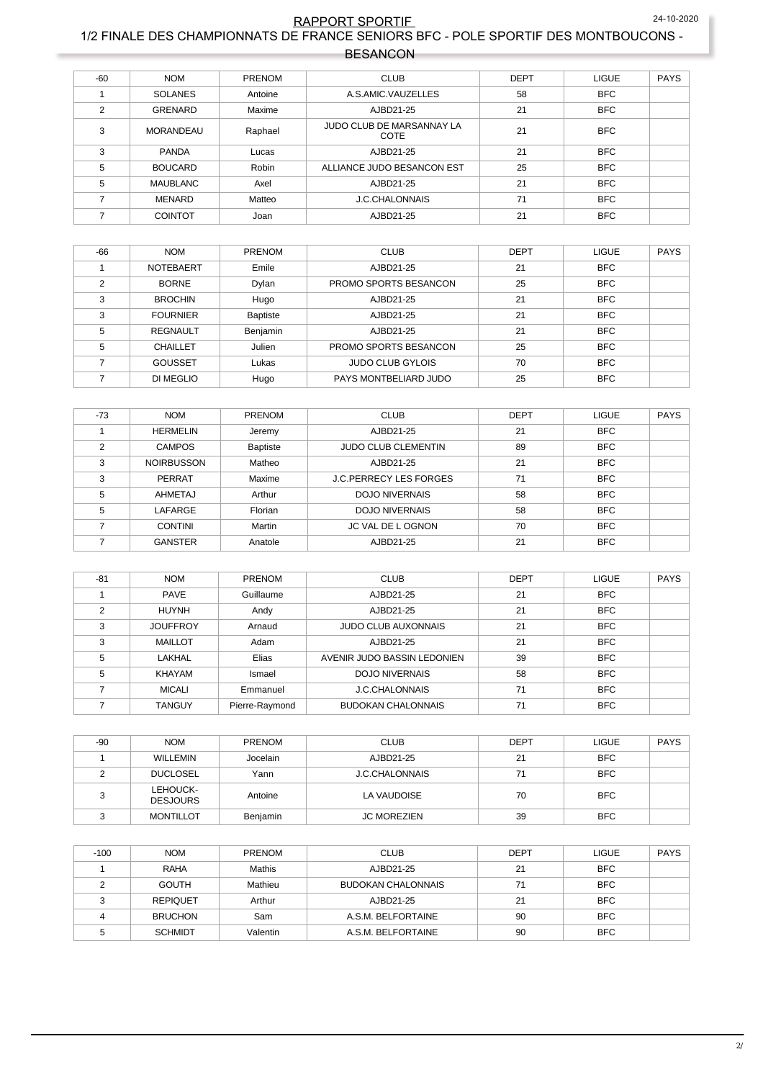## RAPPORT SPORTIF 24-10-2020 1/2 FINALE DES CHAMPIONNATS DE FRANCE SENIORS BFC - POLE SPORTIF DES MONTBOUCONS -

| <b>BESANCON</b> |
|-----------------|
|-----------------|

| $-60$         | <b>NOM</b>       | PRENOM  | <b>CLUB</b>                       | <b>DEPT</b> | <b>LIGUE</b> | <b>PAYS</b> |
|---------------|------------------|---------|-----------------------------------|-------------|--------------|-------------|
|               | <b>SOLANES</b>   | Antoine | A.S.AMIC.VAUZELLES                | 58          | <b>BFC</b>   |             |
| $\mathcal{P}$ | <b>GRENARD</b>   | Maxime  | AJBD21-25                         | 21          | <b>BFC</b>   |             |
| 3             | <b>MORANDEAU</b> | Raphael | JUDO CLUB DE MARSANNAY LA<br>COTE | 21          | <b>BFC</b>   |             |
| 3             | <b>PANDA</b>     | Lucas   | AJBD21-25                         | 21          | <b>BFC</b>   |             |
| 5             | <b>BOUCARD</b>   | Robin   | ALLIANCE JUDO BESANCON EST        | 25          | <b>BFC</b>   |             |
| 5             | <b>MAUBLANC</b>  | Axel    | AJBD21-25                         | 21          | <b>BFC</b>   |             |
|               | MENARD           | Matteo  | <b>J.C.CHALONNAIS</b>             | 71          | <b>BFC</b>   |             |
|               | <b>COINTOT</b>   | Joan    | AJBD21-25                         | 21          | <b>BFC</b>   |             |

| -66           | <b>NOM</b>       | <b>PRENOM</b>   | <b>CLUB</b>             | <b>DEPT</b> | <b>LIGUE</b> | <b>PAYS</b> |
|---------------|------------------|-----------------|-------------------------|-------------|--------------|-------------|
|               | <b>NOTEBAERT</b> | Emile           | AJBD21-25               | 21          | <b>BFC</b>   |             |
| $\mathcal{P}$ | <b>BORNE</b>     | Dylan           | PROMO SPORTS BESANCON   | 25          | <b>BFC</b>   |             |
| 3             | <b>BROCHIN</b>   | Hugo            | AJBD21-25               | 21          | <b>BFC</b>   |             |
| 3             | <b>FOURNIER</b>  | <b>Baptiste</b> | AJBD21-25               | 21          | <b>BFC</b>   |             |
| 5             | <b>REGNAULT</b>  | Benjamin        | AJBD21-25               | 21          | <b>BFC</b>   |             |
| 5             | <b>CHAILLET</b>  | Julien          | PROMO SPORTS BESANCON   | 25          | <b>BFC</b>   |             |
|               | <b>GOUSSET</b>   | Lukas           | <b>JUDO CLUB GYLOIS</b> | 70          | <b>BFC</b>   |             |
|               | DI MEGLIO        | Hugo            | PAYS MONTBELIARD JUDO   | 25          | <b>BFC</b>   |             |

| $-73$ | <b>NOM</b>        | <b>PRENOM</b>   | <b>CLUB</b>                   | <b>DEPT</b> | <b>LIGUE</b> | <b>PAYS</b> |
|-------|-------------------|-----------------|-------------------------------|-------------|--------------|-------------|
|       | <b>HERMELIN</b>   | Jeremy          | AJBD21-25                     | 21          | <b>BFC</b>   |             |
|       | <b>CAMPOS</b>     | <b>Baptiste</b> | <b>JUDO CLUB CLEMENTIN</b>    | 89          | <b>BFC</b>   |             |
| 3     | <b>NOIRBUSSON</b> | Matheo          | AJBD21-25                     | 21          | <b>BFC</b>   |             |
| 3     | PERRAT            | Maxime          | <b>J.C.PERRECY LES FORGES</b> | 71          | <b>BFC</b>   |             |
| 5     | AHMETAJ           | Arthur          | <b>DOJO NIVERNAIS</b>         | 58          | <b>BFC</b>   |             |
| 5     | <b>LAFARGE</b>    | Florian         | <b>DOJO NIVERNAIS</b>         | 58          | <b>BFC</b>   |             |
|       | <b>CONTINI</b>    | Martin          | JC VAL DE LOGNON              | 70          | <b>BFC</b>   |             |
|       | <b>GANSTER</b>    | Anatole         | AJBD21-25                     | 21          | <b>BFC</b>   |             |

| $-81$ | <b>NOM</b>      | <b>PRENOM</b>  | <b>CLUB</b>                 | <b>DEPT</b> | <b>LIGUE</b> | <b>PAYS</b> |
|-------|-----------------|----------------|-----------------------------|-------------|--------------|-------------|
|       | <b>PAVE</b>     | Guillaume      | AJBD21-25                   | 21          | <b>BFC</b>   |             |
| C     | <b>HUYNH</b>    | Andy           | AJBD21-25                   | 21          | <b>BFC</b>   |             |
| 3     | <b>JOUFFROY</b> | Arnaud         | <b>JUDO CLUB AUXONNAIS</b>  | 21          | <b>BFC</b>   |             |
| 3     | <b>MAILLOT</b>  | Adam           | AJBD21-25                   | 21          | <b>BFC</b>   |             |
| 5     | <b>LAKHAL</b>   | Elias          | AVENIR JUDO BASSIN LEDONIEN | 39          | <b>BFC</b>   |             |
| 5     | <b>KHAYAM</b>   | Ismael         | <b>DOJO NIVERNAIS</b>       | 58          | <b>BFC</b>   |             |
|       | <b>MICALI</b>   | Emmanuel       | <b>J.C.CHALONNAIS</b>       | 71          | <b>BFC</b>   |             |
|       | <b>TANGUY</b>   | Pierre-Raymond | <b>BUDOKAN CHALONNAIS</b>   | 71          | <b>BFC</b>   |             |

| $-90$ | <b>NOM</b>                  | <b>PRENOM</b> | <b>CLUB</b>           | <b>DEPT</b> | <b>LIGUE</b> | <b>PAYS</b> |
|-------|-----------------------------|---------------|-----------------------|-------------|--------------|-------------|
|       | <b>WILLEMIN</b>             | Jocelain      | AJBD21-25             | 21          | <b>BFC</b>   |             |
|       | <b>DUCLOSEL</b>             | Yann          | <b>J.C.CHALONNAIS</b> | 71          | <b>BFC</b>   |             |
|       | LEHOUCK-<br><b>DESJOURS</b> | Antoine       | LA VAUDOISE           | 70          | <b>BFC</b>   |             |
|       | <b>MONTILLOT</b>            | Benjamin      | <b>JC MOREZIEN</b>    | 39          | <b>BFC</b>   |             |

| $-100$ | <b>NOM</b>      | <b>PRENOM</b> | <b>CLUB</b>               | <b>DEPT</b> | <b>LIGUE</b> | <b>PAYS</b> |
|--------|-----------------|---------------|---------------------------|-------------|--------------|-------------|
|        | <b>RAHA</b>     | Mathis        | AJBD21-25                 | 21          | <b>BFC</b>   |             |
|        | <b>GOUTH</b>    | Mathieu       | <b>BUDOKAN CHALONNAIS</b> | 71          | <b>BFC</b>   |             |
|        | <b>REPIQUET</b> | Arthur        | AJBD21-25                 | 21          | <b>BFC</b>   |             |
|        | <b>BRUCHON</b>  | Sam           | A.S.M. BELFORTAINE        | 90          | <b>BFC</b>   |             |
|        | <b>SCHMIDT</b>  | Valentin      | A.S.M. BELFORTAINE        | 90          | <b>BFC</b>   |             |